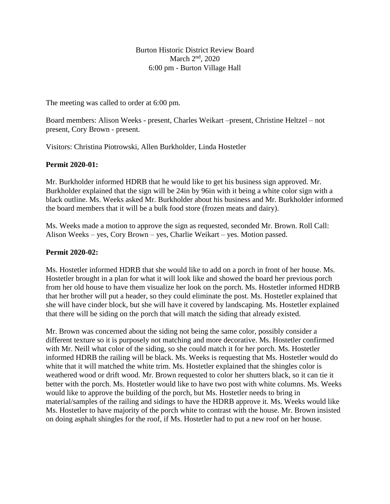Burton Historic District Review Board March  $2<sup>nd</sup>$ , 2020 6:00 pm - Burton Village Hall

The meeting was called to order at 6:00 pm.

Board members: Alison Weeks - present, Charles Weikart –present, Christine Heltzel – not present, Cory Brown - present.

Visitors: Christina Piotrowski, Allen Burkholder, Linda Hostetler

## **Permit 2020-01:**

Mr. Burkholder informed HDRB that he would like to get his business sign approved. Mr. Burkholder explained that the sign will be 24in by 96in with it being a white color sign with a black outline. Ms. Weeks asked Mr. Burkholder about his business and Mr. Burkholder informed the board members that it will be a bulk food store (frozen meats and dairy).

Ms. Weeks made a motion to approve the sign as requested, seconded Mr. Brown. Roll Call: Alison Weeks – yes, Cory Brown – yes, Charlie Weikart – yes. Motion passed.

## **Permit 2020-02:**

Ms. Hostetler informed HDRB that she would like to add on a porch in front of her house. Ms. Hostetler brought in a plan for what it will look like and showed the board her previous porch from her old house to have them visualize her look on the porch. Ms. Hostetler informed HDRB that her brother will put a header, so they could eliminate the post. Ms. Hostetler explained that she will have cinder block, but she will have it covered by landscaping. Ms. Hostetler explained that there will be siding on the porch that will match the siding that already existed.

Mr. Brown was concerned about the siding not being the same color, possibly consider a different texture so it is purposely not matching and more decorative. Ms. Hostetler confirmed with Mr. Neill what color of the siding, so she could match it for her porch. Ms. Hostetler informed HDRB the railing will be black. Ms. Weeks is requesting that Ms. Hostetler would do white that it will matched the white trim. Ms. Hostetler explained that the shingles color is weathered wood or drift wood. Mr. Brown requested to color her shutters black, so it can tie it better with the porch. Ms. Hostetler would like to have two post with white columns. Ms. Weeks would like to approve the building of the porch, but Ms. Hostetler needs to bring in material/samples of the railing and sidings to have the HDRB approve it. Ms. Weeks would like Ms. Hostetler to have majority of the porch white to contrast with the house. Mr. Brown insisted on doing asphalt shingles for the roof, if Ms. Hostetler had to put a new roof on her house.